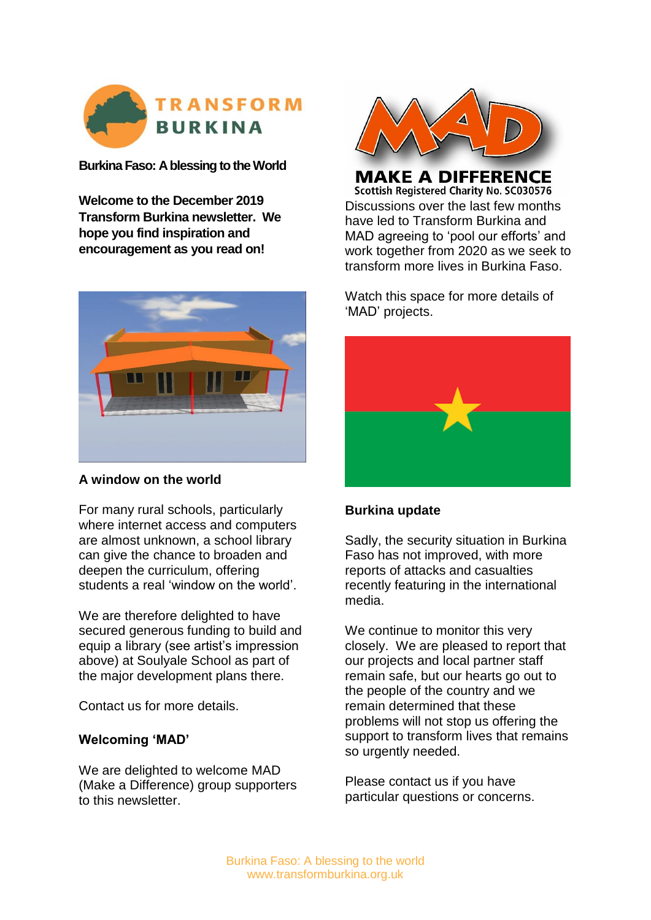

**Burkina Faso: A blessing to the World**

**Welcome to the December 2019 Transform Burkina newsletter. We hope you find inspiration and encouragement as you read on!**



# **A window on the world**

For many rural schools, particularly where internet access and computers are almost unknown, a school library can give the chance to broaden and deepen the curriculum, offering students a real 'window on the world'.

We are therefore delighted to have secured generous funding to build and equip a library (see artist's impression above) at Soulyale School as part of the major development plans there.

Contact us for more details.

#### **Welcoming 'MAD'**

We are delighted to welcome MAD (Make a Difference) group supporters to this newsletter.



**MAKE A DIFFERENCE Scottish Registered Charity No. SC030576** Discussions over the last few months have led to Transform Burkina and MAD agreeing to 'pool our efforts' and work together from 2020 as we seek to transform more lives in Burkina Faso.

Watch this space for more details of 'MAD' projects.



#### **Burkina update**

Sadly, the security situation in Burkina Faso has not improved, with more reports of attacks and casualties recently featuring in the international media.

We continue to monitor this very closely. We are pleased to report that our projects and local partner staff remain safe, but our hearts go out to the people of the country and we remain determined that these problems will not stop us offering the support to transform lives that remains so urgently needed.

Please contact us if you have particular questions or concerns.